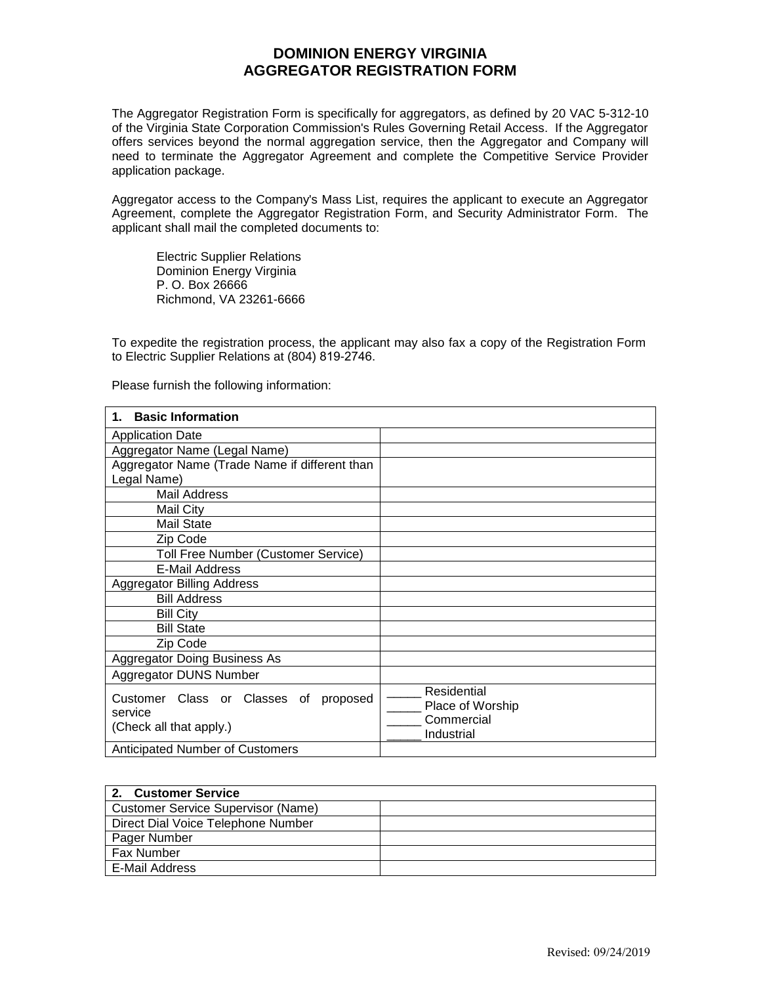## **DOMINION ENERGY VIRGINIA AGGREGATOR REGISTRATION FORM**

The Aggregator Registration Form is specifically for aggregators, as defined by 20 VAC 5-312-10 of the Virginia State Corporation Commission's Rules Governing Retail Access. If the Aggregator offers services beyond the normal aggregation service, then the Aggregator and Company will need to terminate the Aggregator Agreement and complete the Competitive Service Provider application package.

Aggregator access to the Company's Mass List, requires the applicant to execute an Aggregator Agreement, complete the Aggregator Registration Form, and Security Administrator Form. The applicant shall mail the completed documents to:

Electric Supplier Relations Dominion Energy Virginia P. O. Box 26666 Richmond, VA 23261-6666

To expedite the registration process, the applicant may also fax a copy of the Registration Form to Electric Supplier Relations at (804) 819-2746.

Please furnish the following information:

| <b>Basic Information</b><br>1.                |                  |
|-----------------------------------------------|------------------|
| <b>Application Date</b>                       |                  |
| Aggregator Name (Legal Name)                  |                  |
| Aggregator Name (Trade Name if different than |                  |
| Legal Name)                                   |                  |
| Mail Address                                  |                  |
| Mail City                                     |                  |
| <b>Mail State</b>                             |                  |
| Zip Code                                      |                  |
| Toll Free Number (Customer Service)           |                  |
| E-Mail Address                                |                  |
| <b>Aggregator Billing Address</b>             |                  |
| <b>Bill Address</b>                           |                  |
| <b>Bill City</b>                              |                  |
| <b>Bill State</b>                             |                  |
| Zip Code                                      |                  |
| <b>Aggregator Doing Business As</b>           |                  |
| Aggregator DUNS Number                        |                  |
| Customer Class or Classes of                  | Residential      |
| proposed<br>service                           | Place of Worship |
| (Check all that apply.)                       | Commercial       |
|                                               | Industrial       |
| Anticipated Number of Customers               |                  |

| 2. Customer Service                |  |
|------------------------------------|--|
| Customer Service Supervisor (Name) |  |
| Direct Dial Voice Telephone Number |  |
| Pager Number                       |  |
| <b>Fax Number</b>                  |  |
| E-Mail Address                     |  |